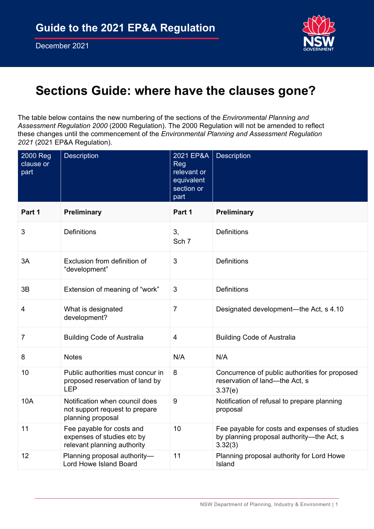

# **Sections Guide: where have the clauses gone?**

The table below contains the new numbering of the sections of the *Environmental Planning and Assessment Regulation 2000* (2000 Regulation). The 2000 Regulation will not be amended to reflect these changes until the commencement of the *Environmental Planning and Assessment Regulation 2021* (2021 EP&A Regulation).

| 2000 Reg<br>clause or<br>part | Description                                                                            | 2021 EP&A<br>Reg<br>relevant or<br>equivalent<br>section or<br>part | <b>Description</b>                                                                                    |
|-------------------------------|----------------------------------------------------------------------------------------|---------------------------------------------------------------------|-------------------------------------------------------------------------------------------------------|
| Part 1                        | Preliminary                                                                            | Part 1                                                              | <b>Preliminary</b>                                                                                    |
| 3                             | Definitions                                                                            | 3,<br>Sch 7                                                         | <b>Definitions</b>                                                                                    |
| 3A                            | Exclusion from definition of<br>"development"                                          | 3                                                                   | <b>Definitions</b>                                                                                    |
| 3B                            | Extension of meaning of "work"                                                         | 3                                                                   | <b>Definitions</b>                                                                                    |
| 4                             | What is designated<br>development?                                                     | $\overline{7}$                                                      | Designated development—the Act, s 4.10                                                                |
| 7                             | <b>Building Code of Australia</b>                                                      | 4                                                                   | <b>Building Code of Australia</b>                                                                     |
| 8                             | <b>Notes</b>                                                                           | N/A                                                                 | N/A                                                                                                   |
| 10                            | Public authorities must concur in<br>proposed reservation of land by<br><b>LEP</b>     | 8                                                                   | Concurrence of public authorities for proposed<br>reservation of land—the Act, s<br>3.37(e)           |
| 10A                           | Notification when council does<br>not support request to prepare<br>planning proposal  | 9                                                                   | Notification of refusal to prepare planning<br>proposal                                               |
| 11                            | Fee payable for costs and<br>expenses of studies etc by<br>relevant planning authority | 10                                                                  | Fee payable for costs and expenses of studies<br>by planning proposal authority-the Act, s<br>3.32(3) |
| 12                            | Planning proposal authority-<br>Lord Howe Island Board                                 | 11                                                                  | Planning proposal authority for Lord Howe<br>Island                                                   |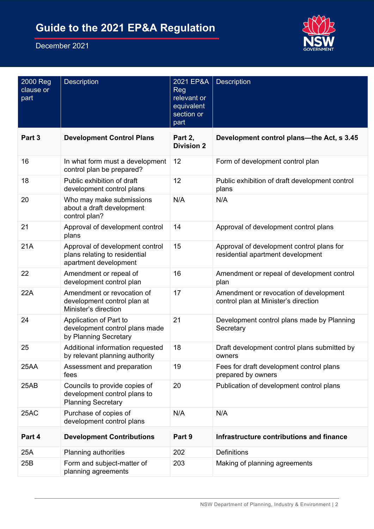

| 2000 Reg<br>clause or<br>part | <b>Description</b>                                                                         | 2021 EP&A<br><b>Reg</b><br>relevant or<br>equivalent<br>section or<br>part | <b>Description</b>                                                             |
|-------------------------------|--------------------------------------------------------------------------------------------|----------------------------------------------------------------------------|--------------------------------------------------------------------------------|
| Part 3                        | <b>Development Control Plans</b>                                                           | Part 2,<br><b>Division 2</b>                                               | Development control plans—the Act, s 3.45                                      |
| 16                            | In what form must a development<br>control plan be prepared?                               | 12                                                                         | Form of development control plan                                               |
| 18                            | Public exhibition of draft<br>development control plans                                    | 12                                                                         | Public exhibition of draft development control<br>plans                        |
| 20                            | Who may make submissions<br>about a draft development<br>control plan?                     | N/A                                                                        | N/A                                                                            |
| 21                            | Approval of development control<br>plans                                                   | 14                                                                         | Approval of development control plans                                          |
| 21A                           | Approval of development control<br>plans relating to residential<br>apartment development  | 15                                                                         | Approval of development control plans for<br>residential apartment development |
| 22                            | Amendment or repeal of<br>development control plan                                         | 16                                                                         | Amendment or repeal of development control<br>plan                             |
| 22A                           | Amendment or revocation of<br>development control plan at<br>Minister's direction          | 17                                                                         | Amendment or revocation of development<br>control plan at Minister's direction |
| 24                            | Application of Part to<br>development control plans made<br>by Planning Secretary          | 21                                                                         | Development control plans made by Planning<br>Secretary                        |
| 25                            | Additional information requested<br>by relevant planning authority                         | 18                                                                         | Draft development control plans submitted by<br>owners                         |
| 25AA                          | Assessment and preparation<br>fees                                                         | 19                                                                         | Fees for draft development control plans<br>prepared by owners                 |
| 25AB                          | Councils to provide copies of<br>development control plans to<br><b>Planning Secretary</b> | 20                                                                         | Publication of development control plans                                       |
| 25AC                          | Purchase of copies of<br>development control plans                                         | N/A                                                                        | N/A                                                                            |
| Part 4                        | <b>Development Contributions</b>                                                           | Part 9                                                                     | Infrastructure contributions and finance                                       |
| 25A                           | Planning authorities                                                                       | 202                                                                        | <b>Definitions</b>                                                             |
| 25B                           | Form and subject-matter of<br>planning agreements                                          | 203                                                                        | Making of planning agreements                                                  |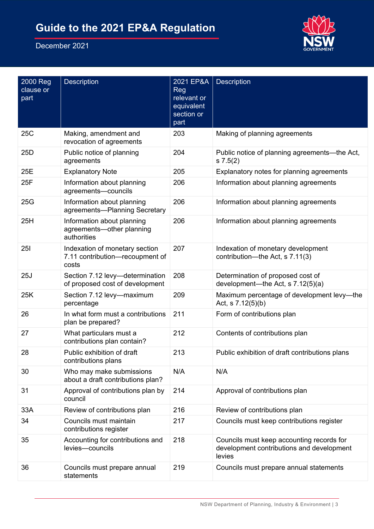

| 2000 Reg<br>clause or<br>part | <b>Description</b>                                                         | 2021 EP&A<br><b>Reg</b><br>relevant or<br>equivalent<br>section or<br>part | <b>Description</b>                                                                               |
|-------------------------------|----------------------------------------------------------------------------|----------------------------------------------------------------------------|--------------------------------------------------------------------------------------------------|
| 25C                           | Making, amendment and<br>revocation of agreements                          | 203                                                                        | Making of planning agreements                                                                    |
| 25D                           | Public notice of planning<br>agreements                                    | 204                                                                        | Public notice of planning agreements—the Act,<br>s 7.5(2)                                        |
| 25E                           | <b>Explanatory Note</b>                                                    | 205                                                                        | Explanatory notes for planning agreements                                                        |
| 25F                           | Information about planning<br>agreements-councils                          | 206                                                                        | Information about planning agreements                                                            |
| 25G                           | Information about planning<br>agreements-Planning Secretary                | 206                                                                        | Information about planning agreements                                                            |
| 25H                           | Information about planning<br>agreements-other planning<br>authorities     | 206                                                                        | Information about planning agreements                                                            |
| <b>251</b>                    | Indexation of monetary section<br>7.11 contribution-recoupment of<br>costs | 207                                                                        | Indexation of monetary development<br>contribution—the Act, s 7.11(3)                            |
| 25J                           | Section 7.12 levy-determination<br>of proposed cost of development         | 208                                                                        | Determination of proposed cost of<br>development-the Act, s 7.12(5)(a)                           |
| 25K                           | Section 7.12 levy-maximum<br>percentage                                    | 209                                                                        | Maximum percentage of development levy-the<br>Act, s 7.12(5)(b)                                  |
| 26                            | In what form must a contributions<br>plan be prepared?                     | 211                                                                        | Form of contributions plan                                                                       |
| 27                            | What particulars must a<br>contributions plan contain?                     | 212                                                                        | Contents of contributions plan                                                                   |
| 28                            | Public exhibition of draft<br>contributions plans                          | 213                                                                        | Public exhibition of draft contributions plans                                                   |
| 30                            | Who may make submissions<br>about a draft contributions plan?              | N/A                                                                        | N/A                                                                                              |
| 31                            | Approval of contributions plan by<br>council                               | 214                                                                        | Approval of contributions plan                                                                   |
| 33A                           | Review of contributions plan                                               | 216                                                                        | Review of contributions plan                                                                     |
| 34                            | Councils must maintain<br>contributions register                           | 217                                                                        | Councils must keep contributions register                                                        |
| 35                            | Accounting for contributions and<br>levies-councils                        | 218                                                                        | Councils must keep accounting records for<br>development contributions and development<br>levies |
| 36                            | Councils must prepare annual<br>statements                                 | 219                                                                        | Councils must prepare annual statements                                                          |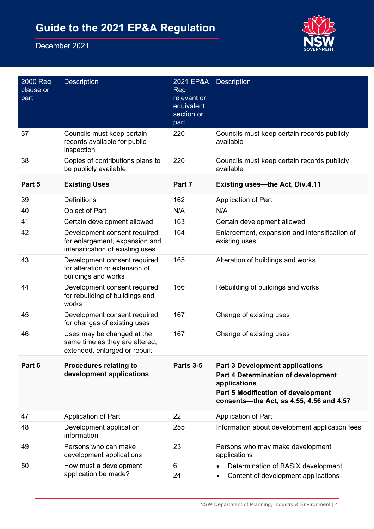

| 2000 Reg<br>clause or<br>part | <b>Description</b>                                                                                 | 2021 EP&A<br>Reg<br>relevant or<br>equivalent<br>section or<br>part | <b>Description</b>                                                                                                                                                              |
|-------------------------------|----------------------------------------------------------------------------------------------------|---------------------------------------------------------------------|---------------------------------------------------------------------------------------------------------------------------------------------------------------------------------|
| 37                            | Councils must keep certain<br>records available for public<br>inspection                           | 220                                                                 | Councils must keep certain records publicly<br>available                                                                                                                        |
| 38                            | Copies of contributions plans to<br>be publicly available                                          | 220                                                                 | Councils must keep certain records publicly<br>available                                                                                                                        |
| Part 5                        | <b>Existing Uses</b>                                                                               | Part 7                                                              | <b>Existing uses-the Act, Div.4.11</b>                                                                                                                                          |
| 39                            | <b>Definitions</b>                                                                                 | 162                                                                 | <b>Application of Part</b>                                                                                                                                                      |
| 40                            | Object of Part                                                                                     | N/A                                                                 | N/A                                                                                                                                                                             |
| 41                            | Certain development allowed                                                                        | 163                                                                 | Certain development allowed                                                                                                                                                     |
| 42                            | Development consent required<br>for enlargement, expansion and<br>intensification of existing uses | 164                                                                 | Enlargement, expansion and intensification of<br>existing uses                                                                                                                  |
| 43                            | Development consent required<br>for alteration or extension of<br>buildings and works              | 165                                                                 | Alteration of buildings and works                                                                                                                                               |
| 44                            | Development consent required<br>for rebuilding of buildings and<br>works                           | 166                                                                 | Rebuilding of buildings and works                                                                                                                                               |
| 45                            | Development consent required<br>for changes of existing uses                                       | 167                                                                 | Change of existing uses                                                                                                                                                         |
| 46                            | Uses may be changed at the<br>same time as they are altered,<br>extended, enlarged or rebuilt      | 167                                                                 | Change of existing uses                                                                                                                                                         |
| Part 6                        | <b>Procedures relating to</b><br>development applications                                          | Parts 3-5                                                           | <b>Part 3 Development applications</b><br>Part 4 Determination of development<br>applications<br>Part 5 Modification of development<br>consents-the Act, ss 4.55, 4.56 and 4.57 |
| 47                            | Application of Part                                                                                | 22                                                                  | Application of Part                                                                                                                                                             |
| 48                            | Development application<br>information                                                             | 255                                                                 | Information about development application fees                                                                                                                                  |
| 49                            | Persons who can make<br>development applications                                                   | 23                                                                  | Persons who may make development<br>applications                                                                                                                                |
| 50                            | How must a development<br>application be made?                                                     | 6<br>24                                                             | Determination of BASIX development<br>$\bullet$<br>Content of development applications<br>$\bullet$                                                                             |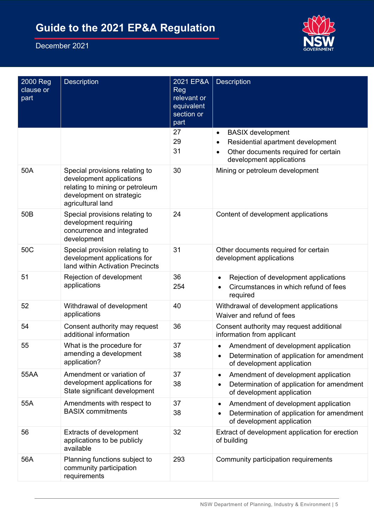

| 2000 Reg<br>clause or<br>part | <b>Description</b>                                                                                                                             | 2021 EP&A<br><b>Reg</b><br>relevant or<br>equivalent<br>section or<br>part | <b>Description</b>                                                                                                                             |
|-------------------------------|------------------------------------------------------------------------------------------------------------------------------------------------|----------------------------------------------------------------------------|------------------------------------------------------------------------------------------------------------------------------------------------|
|                               |                                                                                                                                                | 27<br>29<br>31                                                             | <b>BASIX</b> development<br>$\bullet$<br>Residential apartment development<br>Other documents required for certain<br>development applications |
| 50A                           | Special provisions relating to<br>development applications<br>relating to mining or petroleum<br>development on strategic<br>agricultural land | 30                                                                         | Mining or petroleum development                                                                                                                |
| 50B                           | Special provisions relating to<br>development requiring<br>concurrence and integrated<br>development                                           | 24                                                                         | Content of development applications                                                                                                            |
| 50C                           | Special provision relating to<br>development applications for<br>land within Activation Precincts                                              | 31                                                                         | Other documents required for certain<br>development applications                                                                               |
| 51                            | Rejection of development<br>applications                                                                                                       | 36<br>254                                                                  | Rejection of development applications<br>Circumstances in which refund of fees<br>required                                                     |
| 52                            | Withdrawal of development<br>applications                                                                                                      | 40                                                                         | Withdrawal of development applications<br>Waiver and refund of fees                                                                            |
| 54                            | Consent authority may request<br>additional information                                                                                        | 36                                                                         | Consent authority may request additional<br>information from applicant                                                                         |
| 55                            | What is the procedure for<br>amending a development<br>application?                                                                            | 37<br>38                                                                   | Amendment of development application<br>Determination of application for amendment<br>of development application                               |
| 55AA                          | Amendment or variation of<br>development applications for<br>State significant development                                                     | 37<br>38                                                                   | Amendment of development application<br>$\bullet$<br>Determination of application for amendment<br>of development application                  |
| 55A                           | Amendments with respect to<br><b>BASIX</b> commitments                                                                                         | 37<br>38                                                                   | Amendment of development application<br>٠<br>Determination of application for amendment<br>٠<br>of development application                     |
| 56                            | <b>Extracts of development</b><br>applications to be publicly<br>available                                                                     | 32                                                                         | Extract of development application for erection<br>of building                                                                                 |
| 56A                           | Planning functions subject to<br>community participation<br>requirements                                                                       | 293                                                                        | Community participation requirements                                                                                                           |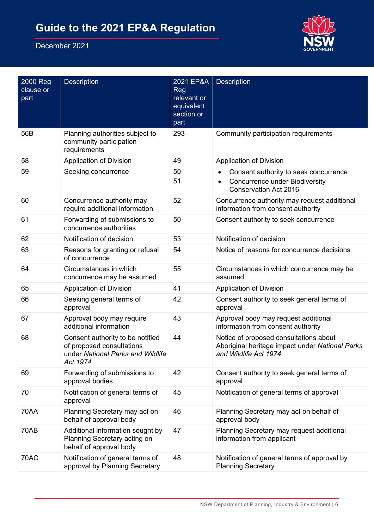

| 2000 Reg<br>clause or<br>part | <b>Description</b>                                                                                             | 2021 EP&A<br><b>Reg</b><br>relevant or<br>equivalent<br>section or<br>part | Description                                                                                                        |
|-------------------------------|----------------------------------------------------------------------------------------------------------------|----------------------------------------------------------------------------|--------------------------------------------------------------------------------------------------------------------|
| 56B                           | Planning authorities subject to<br>community participation<br>requirements                                     | 293                                                                        | Community participation requirements                                                                               |
| 58                            | <b>Application of Division</b>                                                                                 | 49                                                                         | <b>Application of Division</b>                                                                                     |
| 59                            | Seeking concurrence                                                                                            | 50<br>51                                                                   | Consent authority to seek concurrence<br><b>Concurrence under Biodiversity</b><br><b>Conservation Act 2016</b>     |
| 60                            | Concurrence authority may<br>require additional information                                                    | 52                                                                         | Concurrence authority may request additional<br>information from consent authority                                 |
| 61                            | Forwarding of submissions to<br>concurrence authorities                                                        | 50                                                                         | Consent authority to seek concurrence                                                                              |
| 62                            | Notification of decision                                                                                       | 53                                                                         | Notification of decision                                                                                           |
| 63                            | Reasons for granting or refusal<br>of concurrence                                                              | 54                                                                         | Notice of reasons for concurrence decisions                                                                        |
| 64                            | Circumstances in which<br>concurrence may be assumed                                                           | 55                                                                         | Circumstances in which concurrence may be<br>assumed                                                               |
| 65                            | <b>Application of Division</b>                                                                                 | 41                                                                         | <b>Application of Division</b>                                                                                     |
| 66                            | Seeking general terms of<br>approval                                                                           | 42                                                                         | Consent authority to seek general terms of<br>approval                                                             |
| 67                            | Approval body may require<br>additional information                                                            | 43                                                                         | Approval body may request additional<br>information from consent authority                                         |
| 68                            | Consent authority to be notified<br>of proposed consultations<br>under National Parks and Wildlife<br>Act 1974 | 44                                                                         | Notice of proposed consultations about<br>Aboriginal heritage impact under National Parks<br>and Wildlife Act 1974 |
| 69                            | Forwarding of submissions to<br>approval bodies                                                                | 42                                                                         | Consent authority to seek general terms of<br>approval                                                             |
| 70                            | Notification of general terms of<br>approval                                                                   | 45                                                                         | Notification of general terms of approval                                                                          |
| <b>70AA</b>                   | Planning Secretary may act on<br>behalf of approval body                                                       | 46                                                                         | Planning Secretary may act on behalf of<br>approval body                                                           |
| 70AB                          | Additional information sought by<br>Planning Secretary acting on<br>behalf of approval body                    | 47                                                                         | Planning Secretary may request additional<br>information from applicant                                            |
| 70AC                          | Notification of general terms of<br>approval by Planning Secretary                                             | 48                                                                         | Notification of general terms of approval by<br><b>Planning Secretary</b>                                          |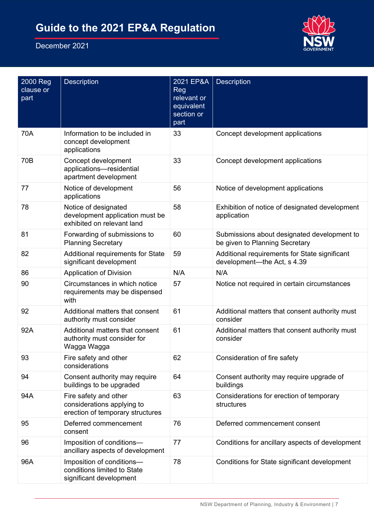

| 2000 Reg<br>clause or<br>part | <b>Description</b>                                                                      | 2021 EP&A<br><b>Reg</b><br>relevant or<br>equivalent<br>section or<br>part | <b>Description</b>                                                            |
|-------------------------------|-----------------------------------------------------------------------------------------|----------------------------------------------------------------------------|-------------------------------------------------------------------------------|
| 70A                           | Information to be included in<br>concept development<br>applications                    | 33                                                                         | Concept development applications                                              |
| 70B                           | Concept development<br>applications-residential<br>apartment development                | 33                                                                         | Concept development applications                                              |
| 77                            | Notice of development<br>applications                                                   | 56                                                                         | Notice of development applications                                            |
| 78                            | Notice of designated<br>development application must be<br>exhibited on relevant land   | 58                                                                         | Exhibition of notice of designated development<br>application                 |
| 81                            | Forwarding of submissions to<br><b>Planning Secretary</b>                               | 60                                                                         | Submissions about designated development to<br>be given to Planning Secretary |
| 82                            | Additional requirements for State<br>significant development                            | 59                                                                         | Additional requirements for State significant<br>development-the Act, s 4.39  |
| 86                            | <b>Application of Division</b>                                                          | N/A                                                                        | N/A                                                                           |
| 90                            | Circumstances in which notice<br>requirements may be dispensed<br>with                  | 57                                                                         | Notice not required in certain circumstances                                  |
| 92                            | Additional matters that consent<br>authority must consider                              | 61                                                                         | Additional matters that consent authority must<br>consider                    |
| 92A                           | Additional matters that consent<br>authority must consider for<br>Wagga Wagga           | 61                                                                         | Additional matters that consent authority must<br>consider                    |
| 93                            | Fire safety and other<br>considerations                                                 | 62                                                                         | Consideration of fire safety                                                  |
| 94                            | Consent authority may require<br>buildings to be upgraded                               | 64                                                                         | Consent authority may require upgrade of<br>buildings                         |
| 94A                           | Fire safety and other<br>considerations applying to<br>erection of temporary structures | 63                                                                         | Considerations for erection of temporary<br>structures                        |
| 95                            | Deferred commencement<br>consent                                                        | 76                                                                         | Deferred commencement consent                                                 |
| 96                            | Imposition of conditions-<br>ancillary aspects of development                           | 77                                                                         | Conditions for ancillary aspects of development                               |
| 96A                           | Imposition of conditions-<br>conditions limited to State<br>significant development     | 78                                                                         | Conditions for State significant development                                  |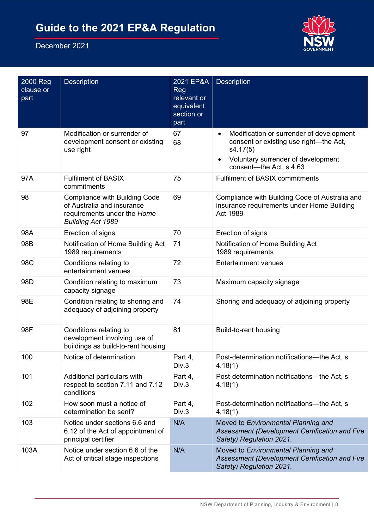

| 2000 Reg<br>clause or<br>part | Description                                                                                                                   | 2021 EP&A<br>Reg<br>relevant or<br>equivalent<br>section or<br>part | <b>Description</b>                                                                                                                                              |
|-------------------------------|-------------------------------------------------------------------------------------------------------------------------------|---------------------------------------------------------------------|-----------------------------------------------------------------------------------------------------------------------------------------------------------------|
| 97                            | Modification or surrender of<br>development consent or existing<br>use right                                                  | 67<br>68                                                            | Modification or surrender of development<br>consent or existing use right-the Act,<br>s4.17(5)<br>Voluntary surrender of development<br>consent-the Act, s 4.63 |
| 97A                           | <b>Fulfilment of BASIX</b><br>commitments                                                                                     | 75                                                                  | <b>Fulfilment of BASIX commitments</b>                                                                                                                          |
| 98                            | <b>Compliance with Building Code</b><br>of Australia and insurance<br>requirements under the Home<br><b>Building Act 1989</b> | 69                                                                  | Compliance with Building Code of Australia and<br>insurance requirements under Home Building<br>Act 1989                                                        |
| 98A                           | Erection of signs                                                                                                             | 70                                                                  | Erection of signs                                                                                                                                               |
| 98B                           | Notification of Home Building Act<br>1989 requirements                                                                        | 71                                                                  | Notification of Home Building Act<br>1989 requirements                                                                                                          |
| 98C                           | Conditions relating to<br>entertainment venues                                                                                | 72                                                                  | <b>Entertainment venues</b>                                                                                                                                     |
| 98D                           | Condition relating to maximum<br>capacity signage                                                                             | 73                                                                  | Maximum capacity signage                                                                                                                                        |
| 98E                           | Condition relating to shoring and<br>adequacy of adjoining property                                                           | 74                                                                  | Shoring and adequacy of adjoining property                                                                                                                      |
| 98F                           | Conditions relating to<br>development involving use of<br>buildings as build-to-rent housing                                  | 81                                                                  | Build-to-rent housing                                                                                                                                           |
| 100                           | Notice of determination                                                                                                       | Part 4,<br>Div.3                                                    | Post-determination notifications-the Act, s<br>4.18(1)                                                                                                          |
| 101                           | Additional particulars with<br>respect to section 7.11 and 7.12<br>conditions                                                 | Part 4,<br>Div.3                                                    | Post-determination notifications-the Act, s<br>4.18(1)                                                                                                          |
| 102                           | How soon must a notice of<br>determination be sent?                                                                           | Part 4,<br>Div.3                                                    | Post-determination notifications--- the Act, s<br>4.18(1)                                                                                                       |
| 103                           | Notice under sections 6.6 and<br>6.12 of the Act of appointment of<br>principal certifier                                     | N/A                                                                 | Moved to Environmental Planning and<br>Assessment (Development Certification and Fire<br>Safety) Regulation 2021.                                               |
| 103A                          | Notice under section 6.6 of the<br>Act of critical stage inspections                                                          | N/A                                                                 | Moved to Environmental Planning and<br>Assessment (Development Certification and Fire<br>Safety) Regulation 2021.                                               |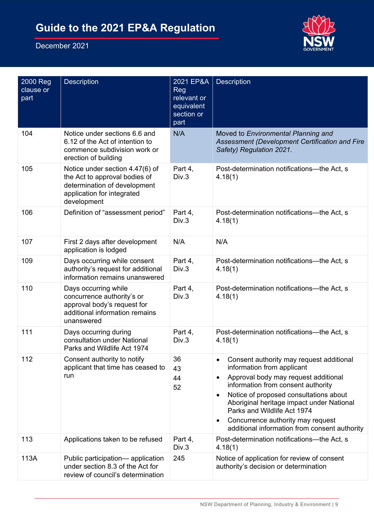

| 2000 Reg<br>clause or<br>part | Description                                                                                                                                   | 2021 EP&A<br>Reg<br>relevant or<br>equivalent<br>section or<br>part | Description                                                                                                                                                                                                                                                                                                                                                                                |
|-------------------------------|-----------------------------------------------------------------------------------------------------------------------------------------------|---------------------------------------------------------------------|--------------------------------------------------------------------------------------------------------------------------------------------------------------------------------------------------------------------------------------------------------------------------------------------------------------------------------------------------------------------------------------------|
| 104                           | Notice under sections 6.6 and<br>6.12 of the Act of intention to<br>commence subdivision work or<br>erection of building                      | N/A                                                                 | Moved to Environmental Planning and<br>Assessment (Development Certification and Fire<br>Safety) Regulation 2021.                                                                                                                                                                                                                                                                          |
| 105                           | Notice under section 4.47(6) of<br>the Act to approval bodies of<br>determination of development<br>application for integrated<br>development | Part 4,<br>Div.3                                                    | Post-determination notifications--- the Act, s<br>4.18(1)                                                                                                                                                                                                                                                                                                                                  |
| 106                           | Definition of "assessment period"                                                                                                             | Part 4,<br>Div.3                                                    | Post-determination notifications—the Act, s<br>4.18(1)                                                                                                                                                                                                                                                                                                                                     |
| 107                           | First 2 days after development<br>application is lodged                                                                                       | N/A                                                                 | N/A                                                                                                                                                                                                                                                                                                                                                                                        |
| 109                           | Days occurring while consent<br>authority's request for additional<br>information remains unanswered                                          | Part 4,<br>Div.3                                                    | Post-determination notifications--- the Act, s<br>4.18(1)                                                                                                                                                                                                                                                                                                                                  |
| 110                           | Days occurring while<br>concurrence authority's or<br>approval body's request for<br>additional information remains<br>unanswered             | Part 4,<br>Div.3                                                    | Post-determination notifications-the Act, s<br>4.18(1)                                                                                                                                                                                                                                                                                                                                     |
| 111                           | Days occurring during<br>consultation under National<br>Parks and Wildlife Act 1974                                                           | Part 4,<br>Div.3                                                    | Post-determination notifications-the Act, s<br>4.18(1)                                                                                                                                                                                                                                                                                                                                     |
| 112                           | Consent authority to notify<br>applicant that time has ceased to<br>run                                                                       | 36<br>43<br>44<br>52                                                | Consent authority may request additional<br>information from applicant<br>Approval body may request additional<br>$\bullet$<br>information from consent authority<br>Notice of proposed consultations about<br>Aboriginal heritage impact under National<br>Parks and Wildlife Act 1974<br>Concurrence authority may request<br>$\bullet$<br>additional information from consent authority |
| 113                           | Applications taken to be refused                                                                                                              | Part 4,<br>Div.3                                                    | Post-determination notifications-the Act, s<br>4.18(1)                                                                                                                                                                                                                                                                                                                                     |
| 113A                          | Public participation— application<br>under section 8.3 of the Act for<br>review of council's determination                                    | 245                                                                 | Notice of application for review of consent<br>authority's decision or determination                                                                                                                                                                                                                                                                                                       |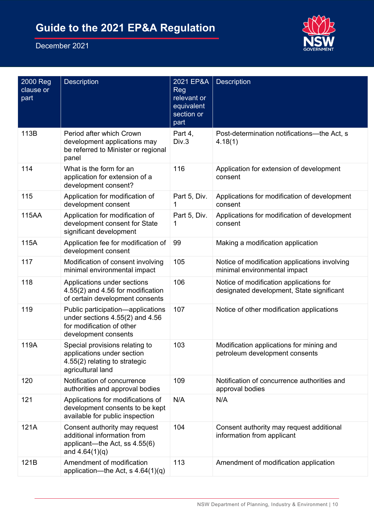

| 2000 Reg<br>clause or<br>part | Description                                                                                                                   | 2021 EP&A<br>Reg<br>relevant or<br>equivalent<br>section or<br>part | <b>Description</b>                                                                   |
|-------------------------------|-------------------------------------------------------------------------------------------------------------------------------|---------------------------------------------------------------------|--------------------------------------------------------------------------------------|
| 113B                          | Period after which Crown<br>development applications may<br>be referred to Minister or regional<br>panel                      | Part 4,<br>Div.3                                                    | Post-determination notifications--- the Act, s<br>4.18(1)                            |
| 114                           | What is the form for an<br>application for extension of a<br>development consent?                                             | 116                                                                 | Application for extension of development<br>consent                                  |
| 115                           | Application for modification of<br>development consent                                                                        | Part 5, Div.<br>1                                                   | Applications for modification of development<br>consent                              |
| 115AA                         | Application for modification of<br>development consent for State<br>significant development                                   | Part 5, Div.<br>1                                                   | Applications for modification of development<br>consent                              |
| 115A                          | Application fee for modification of<br>development consent                                                                    | 99                                                                  | Making a modification application                                                    |
| 117                           | Modification of consent involving<br>minimal environmental impact                                                             | 105                                                                 | Notice of modification applications involving<br>minimal environmental impact        |
| 118                           | Applications under sections<br>4.55(2) and 4.56 for modification<br>of certain development consents                           | 106                                                                 | Notice of modification applications for<br>designated development, State significant |
| 119                           | Public participation-applications<br>under sections $4.55(2)$ and $4.56$<br>for modification of other<br>development consents | 107                                                                 | Notice of other modification applications                                            |
| 119A                          | Special provisions relating to<br>applications under section<br>4.55(2) relating to strategic<br>agricultural land            | 103                                                                 | Modification applications for mining and<br>petroleum development consents           |
| 120                           | Notification of concurrence<br>authorities and approval bodies                                                                | 109                                                                 | Notification of concurrence authorities and<br>approval bodies                       |
| 121                           | Applications for modifications of<br>development consents to be kept<br>available for public inspection                       | N/A                                                                 | N/A                                                                                  |
| 121A                          | Consent authority may request<br>additional information from<br>applicant—the Act, ss 4.55(6)<br>and $4.64(1)(q)$             | 104                                                                 | Consent authority may request additional<br>information from applicant               |
| 121B                          | Amendment of modification<br>application—the Act, s $4.64(1)(q)$                                                              | 113                                                                 | Amendment of modification application                                                |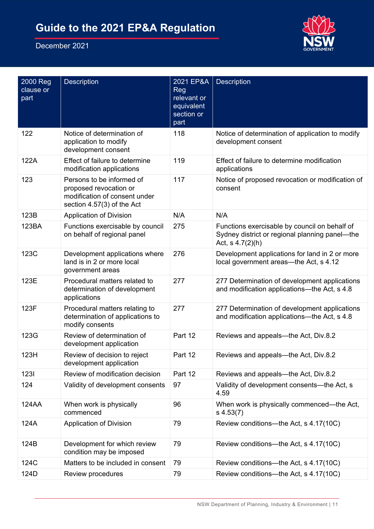

| 2000 Reg<br>clause or<br>part | <b>Description</b>                                                                                                 | 2021 EP&A<br>Reg<br>relevant or<br>equivalent<br>section or<br>part | <b>Description</b>                                                                                                    |
|-------------------------------|--------------------------------------------------------------------------------------------------------------------|---------------------------------------------------------------------|-----------------------------------------------------------------------------------------------------------------------|
| 122                           | Notice of determination of<br>application to modify<br>development consent                                         | 118                                                                 | Notice of determination of application to modify<br>development consent                                               |
| 122A                          | Effect of failure to determine<br>modification applications                                                        | 119                                                                 | Effect of failure to determine modification<br>applications                                                           |
| 123                           | Persons to be informed of<br>proposed revocation or<br>modification of consent under<br>section 4.57(3) of the Act | 117                                                                 | Notice of proposed revocation or modification of<br>consent                                                           |
| 123B                          | <b>Application of Division</b>                                                                                     | N/A                                                                 | N/A                                                                                                                   |
| 123BA                         | Functions exercisable by council<br>on behalf of regional panel                                                    | 275                                                                 | Functions exercisable by council on behalf of<br>Sydney district or regional planning panel—the<br>Act, $s$ 4.7(2)(h) |
| 123C                          | Development applications where<br>land is in 2 or more local<br>government areas                                   | 276                                                                 | Development applications for land in 2 or more<br>local government areas—the Act, s 4.12                              |
| 123E                          | Procedural matters related to<br>determination of development<br>applications                                      | 277                                                                 | 277 Determination of development applications<br>and modification applications—the Act, s 4.8                         |
| 123F                          | Procedural matters relating to<br>determination of applications to<br>modify consents                              | 277                                                                 | 277 Determination of development applications<br>and modification applications—the Act, s 4.8                         |
| 123G                          | Review of determination of<br>development application                                                              | Part 12                                                             | Reviews and appeals—the Act, Div.8.2                                                                                  |
| 123H                          | Review of decision to reject<br>development application                                                            | Part 12                                                             | Reviews and appeals—the Act, Div.8.2                                                                                  |
| 1231                          | Review of modification decision                                                                                    | Part 12                                                             | Reviews and appeals—the Act, Div.8.2                                                                                  |
| 124                           | Validity of development consents                                                                                   | 97                                                                  | Validity of development consents-the Act, s<br>4.59                                                                   |
| <b>124AA</b>                  | When work is physically<br>commenced                                                                               | 96                                                                  | When work is physically commenced—the Act,<br>$s$ 4.53(7)                                                             |
| 124A                          | <b>Application of Division</b>                                                                                     | 79                                                                  | Review conditions—the Act, s 4.17(10C)                                                                                |
| 124B                          | Development for which review<br>condition may be imposed                                                           | 79                                                                  | Review conditions—the Act, s 4.17(10C)                                                                                |
| 124C                          | Matters to be included in consent                                                                                  | 79                                                                  | Review conditions—the Act, s 4.17(10C)                                                                                |
| 124D                          | Review procedures                                                                                                  | 79                                                                  | Review conditions--- the Act, s 4.17(10C)                                                                             |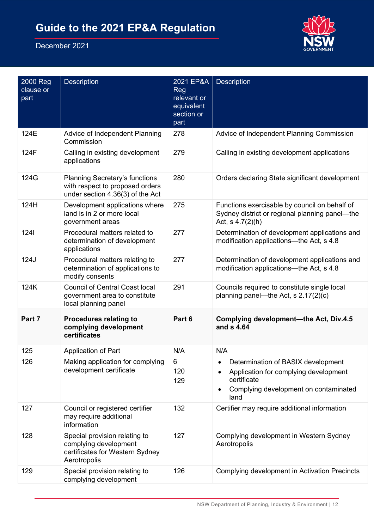

| 2000 Reg<br>clause or<br>part | <b>Description</b>                                                                                           | 2021 EP&A<br>Reg<br>relevant or<br>equivalent<br>section or<br>part | <b>Description</b>                                                                                                                          |
|-------------------------------|--------------------------------------------------------------------------------------------------------------|---------------------------------------------------------------------|---------------------------------------------------------------------------------------------------------------------------------------------|
| 124E                          | Advice of Independent Planning<br>Commission                                                                 | 278                                                                 | Advice of Independent Planning Commission                                                                                                   |
| 124F                          | Calling in existing development<br>applications                                                              | 279                                                                 | Calling in existing development applications                                                                                                |
| 124G                          | <b>Planning Secretary's functions</b><br>with respect to proposed orders<br>under section 4.36(3) of the Act | 280                                                                 | Orders declaring State significant development                                                                                              |
| 124H                          | Development applications where<br>land is in 2 or more local<br>government areas                             | 275                                                                 | Functions exercisable by council on behalf of<br>Sydney district or regional planning panel-the<br>Act, $s$ 4.7(2)(h)                       |
| 1241                          | Procedural matters related to<br>determination of development<br>applications                                | 277                                                                 | Determination of development applications and<br>modification applications-the Act, s 4.8                                                   |
| 124J                          | Procedural matters relating to<br>determination of applications to<br>modify consents                        | 277                                                                 | Determination of development applications and<br>modification applications-the Act, s 4.8                                                   |
| 124K                          | <b>Council of Central Coast local</b><br>government area to constitute<br>local planning panel               | 291                                                                 | Councils required to constitute single local<br>planning panel—the Act, s $2.17(2)(c)$                                                      |
| Part 7                        | <b>Procedures relating to</b><br>complying development<br>certificates                                       | Part 6                                                              | Complying development-the Act, Div.4.5<br>and s 4.64                                                                                        |
| 125                           | Application of Part                                                                                          | N/A                                                                 | N/A                                                                                                                                         |
| 126                           | Making application for complying<br>development certificate                                                  | 6<br>120<br>129                                                     | Determination of BASIX development<br>Application for complying development<br>certificate<br>Complying development on contaminated<br>land |
| 127                           | Council or registered certifier<br>may require additional<br>information                                     | 132                                                                 | Certifier may require additional information                                                                                                |
| 128                           | Special provision relating to<br>complying development<br>certificates for Western Sydney<br>Aerotropolis    | 127                                                                 | Complying development in Western Sydney<br>Aerotropolis                                                                                     |
| 129                           | Special provision relating to<br>complying development                                                       | 126                                                                 | Complying development in Activation Precincts                                                                                               |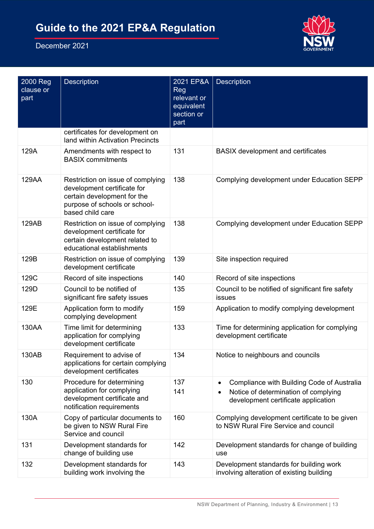

| 2000 Reg<br>clause or<br>part | <b>Description</b>                                                                                                                                   | 2021 EP&A<br><b>Reg</b><br>relevant or<br>equivalent<br>section or<br>part | <b>Description</b>                                                                                                                     |
|-------------------------------|------------------------------------------------------------------------------------------------------------------------------------------------------|----------------------------------------------------------------------------|----------------------------------------------------------------------------------------------------------------------------------------|
|                               | certificates for development on<br>land within Activation Precincts                                                                                  |                                                                            |                                                                                                                                        |
| 129A                          | Amendments with respect to<br><b>BASIX</b> commitments                                                                                               | 131                                                                        | <b>BASIX</b> development and certificates                                                                                              |
| 129AA                         | Restriction on issue of complying<br>development certificate for<br>certain development for the<br>purpose of schools or school-<br>based child care | 138                                                                        | Complying development under Education SEPP                                                                                             |
| 129AB                         | Restriction on issue of complying<br>development certificate for<br>certain development related to<br>educational establishments                     | 138                                                                        | Complying development under Education SEPP                                                                                             |
| 129B                          | Restriction on issue of complying<br>development certificate                                                                                         | 139                                                                        | Site inspection required                                                                                                               |
| 129C                          | Record of site inspections                                                                                                                           | 140                                                                        | Record of site inspections                                                                                                             |
| 129D                          | Council to be notified of<br>significant fire safety issues                                                                                          | 135                                                                        | Council to be notified of significant fire safety<br>issues                                                                            |
| 129E                          | Application form to modify<br>complying development                                                                                                  | 159                                                                        | Application to modify complying development                                                                                            |
| 130AA                         | Time limit for determining<br>application for complying<br>development certificate                                                                   | 133                                                                        | Time for determining application for complying<br>development certificate                                                              |
| 130AB                         | Requirement to advise of<br>applications for certain complying<br>development certificates                                                           | 134                                                                        | Notice to neighbours and councils                                                                                                      |
| 130                           | Procedure for determining<br>application for complying<br>development certificate and<br>notification requirements                                   | 137<br>141                                                                 | Compliance with Building Code of Australia<br>$\bullet$<br>Notice of determination of complying<br>development certificate application |
| 130A                          | Copy of particular documents to<br>be given to NSW Rural Fire<br>Service and council                                                                 | 160                                                                        | Complying development certificate to be given<br>to NSW Rural Fire Service and council                                                 |
| 131                           | Development standards for<br>change of building use                                                                                                  | 142                                                                        | Development standards for change of building<br>use                                                                                    |
| 132                           | Development standards for<br>building work involving the                                                                                             | 143                                                                        | Development standards for building work<br>involving alteration of existing building                                                   |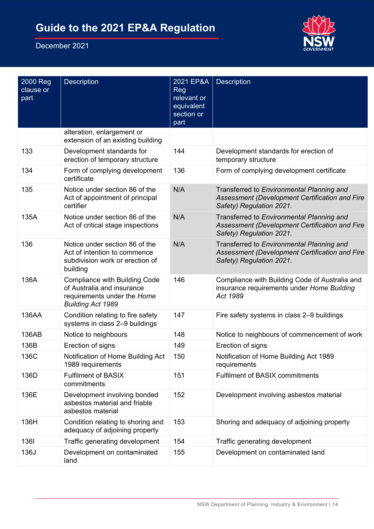

| 2000 Reg<br>clause or<br>part | <b>Description</b>                                                                                                            | 2021 EP&A<br><b>Reg</b><br>relevant or<br>equivalent<br>section or<br>part | <b>Description</b>                                                                                                      |
|-------------------------------|-------------------------------------------------------------------------------------------------------------------------------|----------------------------------------------------------------------------|-------------------------------------------------------------------------------------------------------------------------|
|                               | alteration, enlargement or<br>extension of an existing building                                                               |                                                                            |                                                                                                                         |
| 133                           | Development standards for<br>erection of temporary structure                                                                  | 144                                                                        | Development standards for erection of<br>temporary structure                                                            |
| 134                           | Form of complying development<br>certificate                                                                                  | 136                                                                        | Form of complying development certificate                                                                               |
| 135                           | Notice under section 86 of the<br>Act of appointment of principal<br>certifier                                                | N/A                                                                        | Transferred to Environmental Planning and<br>Assessment (Development Certification and Fire<br>Safety) Regulation 2021. |
| 135A                          | Notice under section 86 of the<br>Act of critical stage inspections                                                           | N/A                                                                        | Transferred to Environmental Planning and<br>Assessment (Development Certification and Fire<br>Safety) Regulation 2021. |
| 136                           | Notice under section 86 of the<br>Act of intention to commence<br>subdivision work or erection of<br>building                 | N/A                                                                        | Transferred to Environmental Planning and<br>Assessment (Development Certification and Fire<br>Safety) Regulation 2021. |
| 136A                          | <b>Compliance with Building Code</b><br>of Australia and insurance<br>requirements under the Home<br><b>Building Act 1989</b> | 146                                                                        | Compliance with Building Code of Australia and<br>insurance requirements under Home Building<br>Act 1989                |
| 136AA                         | Condition relating to fire safety<br>systems in class 2-9 buildings                                                           | 147                                                                        | Fire safety systems in class 2-9 buildings                                                                              |
| 136AB                         | Notice to neighbours                                                                                                          | 148                                                                        | Notice to neighbours of commencement of work                                                                            |
| 136B                          | Erection of signs                                                                                                             | 149                                                                        | Erection of signs                                                                                                       |
| 136C                          | Notification of Home Building Act<br>1989 requirements                                                                        | 150                                                                        | Notification of Home Building Act 1989<br>requirements                                                                  |
| 136D                          | <b>Fulfilment of BASIX</b><br>commitments                                                                                     | 151                                                                        | <b>Fulfilment of BASIX commitments</b>                                                                                  |
| 136E                          | Development involving bonded<br>asbestos material and friable<br>asbestos material                                            | 152                                                                        | Development involving asbestos material                                                                                 |
| 136H                          | Condition relating to shoring and<br>adequacy of adjoining property                                                           | 153                                                                        | Shoring and adequacy of adjoining property                                                                              |
| 1361                          | Traffic generating development                                                                                                | 154                                                                        | Traffic generating development                                                                                          |
| 136J                          | Development on contaminated<br>land                                                                                           | 155                                                                        | Development on contaminated land                                                                                        |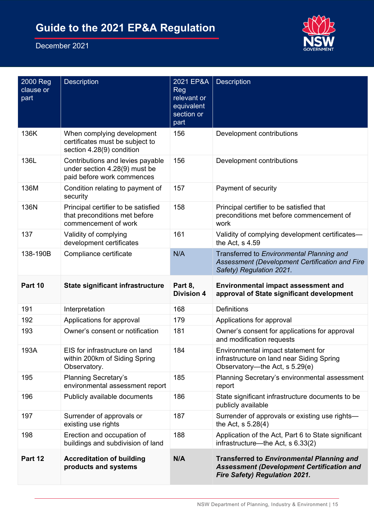

| 2000 Reg<br>clause or<br>part | <b>Description</b>                                                                              | 2021 EP&A<br><b>Reg</b><br>relevant or<br>equivalent<br>section or<br>part | <b>Description</b>                                                                                                                           |
|-------------------------------|-------------------------------------------------------------------------------------------------|----------------------------------------------------------------------------|----------------------------------------------------------------------------------------------------------------------------------------------|
| 136K                          | When complying development<br>certificates must be subject to<br>section 4.28(9) condition      | 156                                                                        | Development contributions                                                                                                                    |
| 136L                          | Contributions and levies payable<br>under section 4.28(9) must be<br>paid before work commences | 156                                                                        | Development contributions                                                                                                                    |
| 136M                          | Condition relating to payment of<br>security                                                    | 157                                                                        | Payment of security                                                                                                                          |
| 136N                          | Principal certifier to be satisfied<br>that preconditions met before<br>commencement of work    | 158                                                                        | Principal certifier to be satisfied that<br>preconditions met before commencement of<br>work                                                 |
| 137                           | Validity of complying<br>development certificates                                               | 161                                                                        | Validity of complying development certificates-<br>the Act, s 4.59                                                                           |
| 138-190B                      | Compliance certificate                                                                          | N/A                                                                        | Transferred to Environmental Planning and<br>Assessment (Development Certification and Fire<br>Safety) Regulation 2021.                      |
| Part 10                       | State significant infrastructure                                                                | Part 8,<br><b>Division 4</b>                                               | <b>Environmental impact assessment and</b><br>approval of State significant development                                                      |
| 191                           | Interpretation                                                                                  | 168                                                                        | <b>Definitions</b>                                                                                                                           |
| 192                           | Applications for approval                                                                       | 179                                                                        | Applications for approval                                                                                                                    |
| 193                           | Owner's consent or notification                                                                 | 181                                                                        | Owner's consent for applications for approval<br>and modification requests                                                                   |
| 193A                          | EIS for infrastructure on land<br>within 200km of Siding Spring<br>Observatory.                 | 184                                                                        | Environmental impact statement for<br>infrastructure on land near Siding Spring<br>Observatory---the Act, s 5.29(e)                          |
| 195                           | <b>Planning Secretary's</b><br>environmental assessment report                                  | 185                                                                        | Planning Secretary's environmental assessment<br>report                                                                                      |
| 196                           | Publicly available documents                                                                    | 186                                                                        | State significant infrastructure documents to be<br>publicly available                                                                       |
| 197                           | Surrender of approvals or<br>existing use rights                                                | 187                                                                        | Surrender of approvals or existing use rights-<br>the Act, $s 5.28(4)$                                                                       |
| 198                           | Erection and occupation of<br>buildings and subdivision of land                                 | 188                                                                        | Application of the Act, Part 6 to State significant<br>infrastructure—the Act, s 6.33(2)                                                     |
| Part 12                       | <b>Accreditation of building</b><br>products and systems                                        | N/A                                                                        | <b>Transferred to Environmental Planning and</b><br><b>Assessment (Development Certification and</b><br><b>Fire Safety) Regulation 2021.</b> |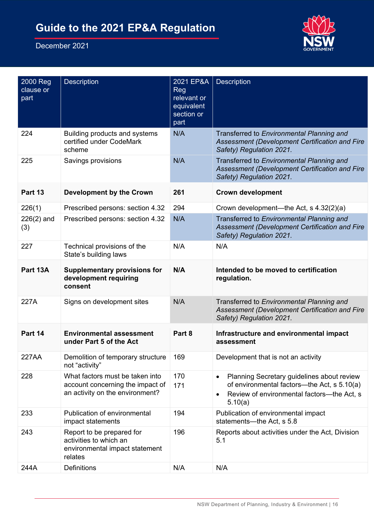

| 2000 Reg<br>clause or<br>part | <b>Description</b>                                                                                     | 2021 EP&A<br>Reg<br>relevant or<br>equivalent<br>section or<br>part | <b>Description</b>                                                                                                                                 |
|-------------------------------|--------------------------------------------------------------------------------------------------------|---------------------------------------------------------------------|----------------------------------------------------------------------------------------------------------------------------------------------------|
| 224                           | Building products and systems<br>certified under CodeMark<br>scheme                                    | N/A                                                                 | Transferred to Environmental Planning and<br>Assessment (Development Certification and Fire<br>Safety) Regulation 2021.                            |
| 225                           | Savings provisions                                                                                     | N/A                                                                 | Transferred to Environmental Planning and<br>Assessment (Development Certification and Fire<br>Safety) Regulation 2021.                            |
| Part 13                       | <b>Development by the Crown</b>                                                                        | 261                                                                 | <b>Crown development</b>                                                                                                                           |
| 226(1)                        | Prescribed persons: section 4.32                                                                       | 294                                                                 | Crown development—the Act, s 4.32(2)(a)                                                                                                            |
| $226(2)$ and<br>(3)           | Prescribed persons: section 4.32                                                                       | N/A                                                                 | Transferred to Environmental Planning and<br>Assessment (Development Certification and Fire<br>Safety) Regulation 2021.                            |
| 227                           | Technical provisions of the<br>State's building laws                                                   | N/A                                                                 | N/A                                                                                                                                                |
| Part 13A                      | <b>Supplementary provisions for</b><br>development requiring<br>consent                                | N/A                                                                 | Intended to be moved to certification<br>regulation.                                                                                               |
| 227A                          | Signs on development sites                                                                             | N/A                                                                 | Transferred to Environmental Planning and<br>Assessment (Development Certification and Fire<br>Safety) Regulation 2021.                            |
| Part 14                       | <b>Environmental assessment</b><br>under Part 5 of the Act                                             | Part 8                                                              | Infrastructure and environmental impact<br>assessment                                                                                              |
| 227AA                         | Demolition of temporary structure<br>not "activity"                                                    | 169                                                                 | Development that is not an activity                                                                                                                |
| 228                           | What factors must be taken into<br>account concerning the impact of<br>an activity on the environment? | 170<br>171                                                          | Planning Secretary guidelines about review<br>of environmental factors—the Act, s 5.10(a)<br>Review of environmental factors-the Act, s<br>5.10(a) |
| 233                           | Publication of environmental<br>impact statements                                                      | 194                                                                 | Publication of environmental impact<br>statements-the Act, s 5.8                                                                                   |
| 243                           | Report to be prepared for<br>activities to which an<br>environmental impact statement<br>relates       | 196                                                                 | Reports about activities under the Act, Division<br>5.1                                                                                            |
| 244A                          | <b>Definitions</b>                                                                                     | N/A                                                                 | N/A                                                                                                                                                |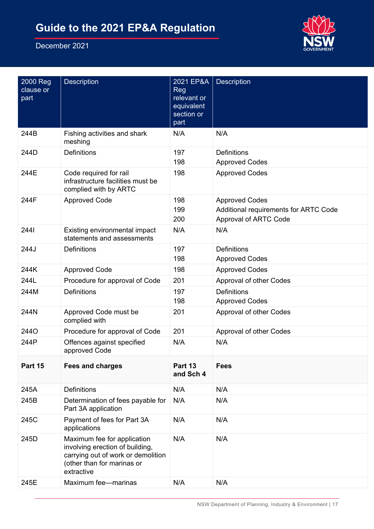

| 2000 Reg<br>clause or<br>part | Description                                                                                                                                      | 2021 EP&A<br><b>Reg</b><br>relevant or<br>equivalent<br>section or<br>part | <b>Description</b>                                                                             |
|-------------------------------|--------------------------------------------------------------------------------------------------------------------------------------------------|----------------------------------------------------------------------------|------------------------------------------------------------------------------------------------|
| 244B                          | Fishing activities and shark<br>meshing                                                                                                          | N/A                                                                        | N/A                                                                                            |
| 244D                          | <b>Definitions</b>                                                                                                                               | 197<br>198                                                                 | <b>Definitions</b><br><b>Approved Codes</b>                                                    |
| 244E                          | Code required for rail<br>infrastructure facilities must be<br>complied with by ARTC                                                             | 198                                                                        | <b>Approved Codes</b>                                                                          |
| 244F                          | <b>Approved Code</b>                                                                                                                             | 198<br>199<br>200                                                          | <b>Approved Codes</b><br>Additional requirements for ARTC Code<br><b>Approval of ARTC Code</b> |
| 2441                          | Existing environmental impact<br>statements and assessments                                                                                      | N/A                                                                        | N/A                                                                                            |
| 244J                          | <b>Definitions</b>                                                                                                                               | 197<br>198                                                                 | <b>Definitions</b><br><b>Approved Codes</b>                                                    |
| 244K                          | <b>Approved Code</b>                                                                                                                             | 198                                                                        | <b>Approved Codes</b>                                                                          |
| 244L                          | Procedure for approval of Code                                                                                                                   | 201                                                                        | Approval of other Codes                                                                        |
| 244M                          | <b>Definitions</b>                                                                                                                               | 197<br>198                                                                 | <b>Definitions</b><br><b>Approved Codes</b>                                                    |
| 244N                          | Approved Code must be<br>complied with                                                                                                           | 201                                                                        | Approval of other Codes                                                                        |
| 244O                          | Procedure for approval of Code                                                                                                                   | 201                                                                        | Approval of other Codes                                                                        |
| 244P                          | Offences against specified<br>approved Code                                                                                                      | N/A                                                                        | N/A                                                                                            |
| Part 15                       | <b>Fees and charges</b>                                                                                                                          | Part 13<br>and Sch 4                                                       | <b>Fees</b>                                                                                    |
| 245A                          | <b>Definitions</b>                                                                                                                               | N/A                                                                        | N/A                                                                                            |
| 245B                          | Determination of fees payable for<br>Part 3A application                                                                                         | N/A                                                                        | N/A                                                                                            |
| 245C                          | Payment of fees for Part 3A<br>applications                                                                                                      | N/A                                                                        | N/A                                                                                            |
| 245D                          | Maximum fee for application<br>involving erection of building,<br>carrying out of work or demolition<br>(other than for marinas or<br>extractive | N/A                                                                        | N/A                                                                                            |
| 245E                          | Maximum fee-marinas                                                                                                                              | N/A                                                                        | N/A                                                                                            |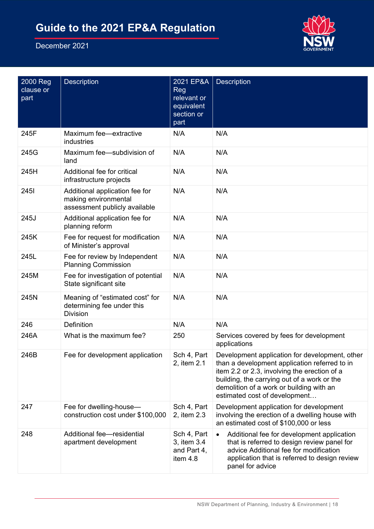

| 2000 Reg<br>clause or<br>part | <b>Description</b>                                                                      | 2021 EP&A<br>Reg<br>relevant or<br>equivalent<br>section or<br>part | <b>Description</b>                                                                                                                                                                                                                                                          |
|-------------------------------|-----------------------------------------------------------------------------------------|---------------------------------------------------------------------|-----------------------------------------------------------------------------------------------------------------------------------------------------------------------------------------------------------------------------------------------------------------------------|
| 245F                          | Maximum fee-extractive<br>industries                                                    | N/A                                                                 | N/A                                                                                                                                                                                                                                                                         |
| 245G                          | Maximum fee-subdivision of<br>land                                                      | N/A                                                                 | N/A                                                                                                                                                                                                                                                                         |
| 245H                          | Additional fee for critical<br>infrastructure projects                                  | N/A                                                                 | N/A                                                                                                                                                                                                                                                                         |
| <b>2451</b>                   | Additional application fee for<br>making environmental<br>assessment publicly available | N/A                                                                 | N/A                                                                                                                                                                                                                                                                         |
| 245J                          | Additional application fee for<br>planning reform                                       | N/A                                                                 | N/A                                                                                                                                                                                                                                                                         |
| 245K                          | Fee for request for modification<br>of Minister's approval                              | N/A                                                                 | N/A                                                                                                                                                                                                                                                                         |
| 245L                          | Fee for review by Independent<br><b>Planning Commission</b>                             | N/A                                                                 | N/A                                                                                                                                                                                                                                                                         |
| 245M                          | Fee for investigation of potential<br>State significant site                            | N/A                                                                 | N/A                                                                                                                                                                                                                                                                         |
| 245N                          | Meaning of "estimated cost" for<br>determining fee under this<br><b>Division</b>        | N/A                                                                 | N/A                                                                                                                                                                                                                                                                         |
| 246                           | Definition                                                                              | N/A                                                                 | N/A                                                                                                                                                                                                                                                                         |
| 246A                          | What is the maximum fee?                                                                | 250                                                                 | Services covered by fees for development<br>applications                                                                                                                                                                                                                    |
| 246B                          | Fee for development application                                                         | Sch 4, Part<br>2, item 2.1                                          | Development application for development, other<br>than a development application referred to in<br>item 2.2 or 2.3, involving the erection of a<br>building, the carrying out of a work or the<br>demolition of a work or building with an<br>estimated cost of development |
| 247                           | Fee for dwelling-house-<br>construction cost under \$100,000                            | Sch 4, Part<br>2, item 2.3                                          | Development application for development<br>involving the erection of a dwelling house with<br>an estimated cost of \$100,000 or less                                                                                                                                        |
| 248                           | Additional fee-residential<br>apartment development                                     | Sch 4, Part<br>3, item 3.4<br>and Part 4,<br>item 4.8               | Additional fee for development application<br>$\bullet$<br>that is referred to design review panel for<br>advice Additional fee for modification<br>application that is referred to design review<br>panel for advice                                                       |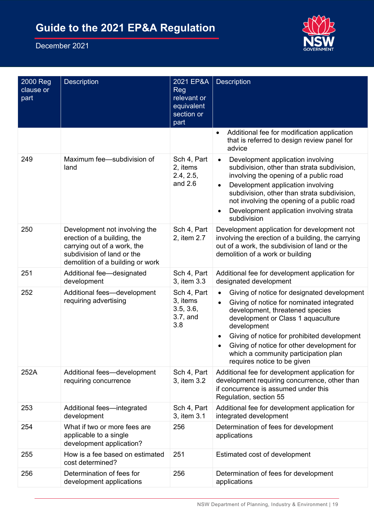

| 2000 Reg<br>clause or<br>part | <b>Description</b>                                                                                                                                            | 2021 EP&A<br><b>Reg</b><br>relevant or<br>equivalent<br>section or<br>part | <b>Description</b>                                                                                                                                                                                                                                                                                                                                   |
|-------------------------------|---------------------------------------------------------------------------------------------------------------------------------------------------------------|----------------------------------------------------------------------------|------------------------------------------------------------------------------------------------------------------------------------------------------------------------------------------------------------------------------------------------------------------------------------------------------------------------------------------------------|
|                               |                                                                                                                                                               |                                                                            | Additional fee for modification application<br>$\bullet$<br>that is referred to design review panel for<br>advice                                                                                                                                                                                                                                    |
| 249                           | Maximum fee-subdivision of<br>land                                                                                                                            | Sch 4, Part<br>2, items<br>2.4, 2.5,<br>and $2.6$                          | Development application involving<br>$\bullet$<br>subdivision, other than strata subdivision,<br>involving the opening of a public road<br>Development application involving<br>$\bullet$<br>subdivision, other than strata subdivision,<br>not involving the opening of a public road<br>Development application involving strata<br>subdivision    |
| 250                           | Development not involving the<br>erection of a building, the<br>carrying out of a work, the<br>subdivision of land or the<br>demolition of a building or work | Sch 4, Part<br>2, item 2.7                                                 | Development application for development not<br>involving the erection of a building, the carrying<br>out of a work, the subdivision of land or the<br>demolition of a work or building                                                                                                                                                               |
| 251                           | Additional fee-designated<br>development                                                                                                                      | Sch 4, Part<br>3, item 3.3                                                 | Additional fee for development application for<br>designated development                                                                                                                                                                                                                                                                             |
| 252                           | Additional fees-development<br>requiring advertising                                                                                                          | Sch 4, Part<br>3, items<br>3.5, 3.6,<br>$3.7$ , and<br>3.8                 | Giving of notice for designated development<br>Giving of notice for nominated integrated<br>development, threatened species<br>development or Class 1 aquaculture<br>development<br>Giving of notice for prohibited development<br>Giving of notice for other development for<br>which a community participation plan<br>requires notice to be given |
| 252A                          | Additional fees-development<br>requiring concurrence                                                                                                          | Sch 4, Part<br>3, item 3.2                                                 | Additional fee for development application for<br>development requiring concurrence, other than<br>if concurrence is assumed under this<br>Regulation, section 55                                                                                                                                                                                    |
| 253                           | Additional fees-integrated<br>development                                                                                                                     | Sch 4, Part<br>3, item 3.1                                                 | Additional fee for development application for<br>integrated development                                                                                                                                                                                                                                                                             |
| 254                           | What if two or more fees are<br>applicable to a single<br>development application?                                                                            | 256                                                                        | Determination of fees for development<br>applications                                                                                                                                                                                                                                                                                                |
| 255                           | How is a fee based on estimated<br>cost determined?                                                                                                           | 251                                                                        | Estimated cost of development                                                                                                                                                                                                                                                                                                                        |
| 256                           | Determination of fees for<br>development applications                                                                                                         | 256                                                                        | Determination of fees for development<br>applications                                                                                                                                                                                                                                                                                                |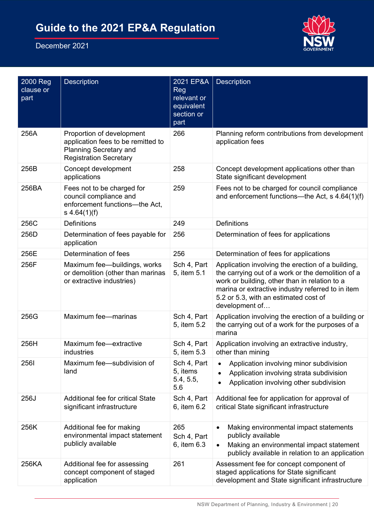

| 2000 Reg<br>clause or<br>part | <b>Description</b>                                                                                                                | 2021 EP&A<br><b>Reg</b><br>relevant or<br>equivalent<br>section or<br>part | Description                                                                                                                                                                                                                                                             |
|-------------------------------|-----------------------------------------------------------------------------------------------------------------------------------|----------------------------------------------------------------------------|-------------------------------------------------------------------------------------------------------------------------------------------------------------------------------------------------------------------------------------------------------------------------|
| 256A                          | Proportion of development<br>application fees to be remitted to<br><b>Planning Secretary and</b><br><b>Registration Secretary</b> | 266                                                                        | Planning reform contributions from development<br>application fees                                                                                                                                                                                                      |
| 256B                          | Concept development<br>applications                                                                                               | 258                                                                        | Concept development applications other than<br>State significant development                                                                                                                                                                                            |
| 256BA                         | Fees not to be charged for<br>council compliance and<br>enforcement functions-the Act,<br>s $4.64(1)(f)$                          | 259                                                                        | Fees not to be charged for council compliance<br>and enforcement functions—the Act, s 4.64(1)(f)                                                                                                                                                                        |
| 256C                          | Definitions                                                                                                                       | 249                                                                        | <b>Definitions</b>                                                                                                                                                                                                                                                      |
| 256D                          | Determination of fees payable for<br>application                                                                                  | 256                                                                        | Determination of fees for applications                                                                                                                                                                                                                                  |
| 256E                          | Determination of fees                                                                                                             | 256                                                                        | Determination of fees for applications                                                                                                                                                                                                                                  |
| 256F                          | Maximum fee-buildings, works<br>or demolition (other than marinas<br>or extractive industries)                                    | Sch 4, Part<br>5, item 5.1                                                 | Application involving the erection of a building,<br>the carrying out of a work or the demolition of a<br>work or building, other than in relation to a<br>marina or extractive industry referred to in item<br>5.2 or 5.3, with an estimated cost of<br>development of |
| 256G                          | Maximum fee-marinas                                                                                                               | Sch 4, Part<br>5, item 5.2                                                 | Application involving the erection of a building or<br>the carrying out of a work for the purposes of a<br>marina                                                                                                                                                       |
| 256H                          | Maximum fee-extractive<br>industries                                                                                              | Sch 4, Part<br>5, item 5.3                                                 | Application involving an extractive industry,<br>other than mining                                                                                                                                                                                                      |
| 2561                          | Maximum fee-subdivision of<br>land                                                                                                | Sch 4, Part<br>5, items<br>5.4, 5.5,<br>5.6                                | Application involving minor subdivision<br>Application involving strata subdivision<br>Application involving other subdivision                                                                                                                                          |
| 256J                          | Additional fee for critical State<br>significant infrastructure                                                                   | Sch 4, Part<br>6, item 6.2                                                 | Additional fee for application for approval of<br>critical State significant infrastructure                                                                                                                                                                             |
| 256K                          | Additional fee for making<br>environmental impact statement<br>publicly available                                                 | 265<br>Sch 4, Part<br>6, item 6.3                                          | Making environmental impact statements<br>publicly available<br>Making an environmental impact statement<br>publicly available in relation to an application                                                                                                            |
| 256KA                         | Additional fee for assessing<br>concept component of staged<br>application                                                        | 261                                                                        | Assessment fee for concept component of<br>staged applications for State significant<br>development and State significant infrastructure                                                                                                                                |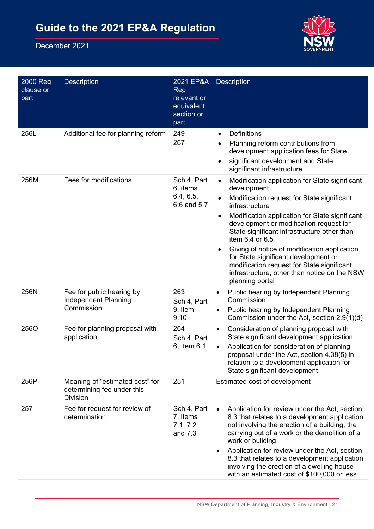

| 2000 Reg<br>clause or<br>part | <b>Description</b>                                                               | 2021 EP&A<br>Reg<br>relevant or<br>equivalent<br>section or<br>part | Description                                                                                                                                                                                                                                                                                                                                                                                                                                                                                                        |
|-------------------------------|----------------------------------------------------------------------------------|---------------------------------------------------------------------|--------------------------------------------------------------------------------------------------------------------------------------------------------------------------------------------------------------------------------------------------------------------------------------------------------------------------------------------------------------------------------------------------------------------------------------------------------------------------------------------------------------------|
| 256L                          | Additional fee for planning reform                                               | 249<br>267                                                          | <b>Definitions</b><br>$\bullet$<br>Planning reform contributions from<br>development application fees for State<br>significant development and State<br>significant infrastructure                                                                                                                                                                                                                                                                                                                                 |
| 256M                          | Fees for modifications                                                           | Sch 4, Part<br>6, items<br>6.4, 6.5,<br>6.6 and 5.7                 | Modification application for State significant<br>$\bullet$<br>development<br>Modification request for State significant<br>infrastructure<br>Modification application for State significant<br>development or modification request for<br>State significant infrastructure other than<br>item 6.4 or 6.5<br>Giving of notice of modification application<br>for State significant development or<br>modification request for State significant<br>infrastructure, other than notice on the NSW<br>planning portal |
| 256N                          | Fee for public hearing by<br><b>Independent Planning</b><br>Commission           | 263<br>Sch 4, Part<br>9, item<br>9.10                               | Public hearing by Independent Planning<br>$\bullet$<br>Commission<br>Public hearing by Independent Planning<br>٠<br>Commission under the Act, section 2.9(1)(d)                                                                                                                                                                                                                                                                                                                                                    |
| 256O                          | Fee for planning proposal with<br>application                                    | 264<br>Sch 4, Part<br>6, Item 6.1                                   | Consideration of planning proposal with<br>$\bullet$<br>State significant development application<br>Application for consideration of planning<br>proposal under the Act, section 4.38(5) in<br>relation to a development application for<br>State significant development                                                                                                                                                                                                                                         |
| 256P                          | Meaning of "estimated cost" for<br>determining fee under this<br><b>Division</b> | 251                                                                 | Estimated cost of development                                                                                                                                                                                                                                                                                                                                                                                                                                                                                      |
| 257                           | Fee for request for review of<br>determination                                   | Sch 4, Part<br>7, items<br>7.1, 7.2<br>and 7.3                      | Application for review under the Act, section<br>8.3 that relates to a development application<br>not involving the erection of a building, the<br>carrying out of a work or the demolition of a<br>work or building<br>Application for review under the Act, section<br>$\bullet$<br>8.3 that relates to a development application<br>involving the erection of a dwelling house<br>with an estimated cost of \$100,000 or less                                                                                   |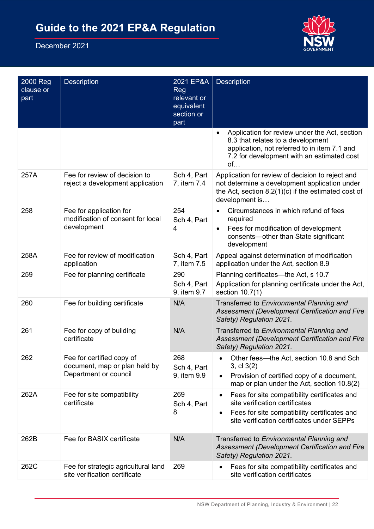

| 2000 Reg<br>clause or<br>part | Description                                                                         | 2021 EP&A<br><b>Reg</b><br>relevant or<br>equivalent<br>section or<br>part | <b>Description</b>                                                                                                                                                                                     |
|-------------------------------|-------------------------------------------------------------------------------------|----------------------------------------------------------------------------|--------------------------------------------------------------------------------------------------------------------------------------------------------------------------------------------------------|
|                               |                                                                                     |                                                                            | Application for review under the Act, section<br>8.3 that relates to a development<br>application, not referred to in item 7.1 and<br>7.2 for development with an estimated cost<br>of                 |
| 257A                          | Fee for review of decision to<br>reject a development application                   | Sch 4, Part<br>7, item 7.4                                                 | Application for review of decision to reject and<br>not determine a development application under<br>the Act, section $8.2(1)(c)$ if the estimated cost of<br>development is                           |
| 258                           | Fee for application for<br>modification of consent for local<br>development         | 254<br>Sch 4, Part<br>4                                                    | Circumstances in which refund of fees<br>required<br>Fees for modification of development<br>consents-other than State significant<br>development                                                      |
| 258A                          | Fee for review of modification<br>application                                       | Sch 4, Part<br>7, item 7.5                                                 | Appeal against determination of modification<br>application under the Act, section 8.9                                                                                                                 |
| 259                           | Fee for planning certificate                                                        | 290<br>Sch 4, Part<br>9, item 9.7                                          | Planning certificates—the Act, s 10.7<br>Application for planning certificate under the Act,<br>section 10.7(1)                                                                                        |
| 260                           | Fee for building certificate                                                        | N/A                                                                        | Transferred to Environmental Planning and<br>Assessment (Development Certification and Fire<br>Safety) Regulation 2021.                                                                                |
| 261                           | Fee for copy of building<br>certificate                                             | N/A                                                                        | Transferred to Environmental Planning and<br>Assessment (Development Certification and Fire<br>Safety) Regulation 2021.                                                                                |
| 262                           | Fee for certified copy of<br>document, map or plan held by<br>Department or council | 268<br>Sch 4, Part<br>9, item 9.9                                          | Other fees-the Act, section 10.8 and Sch<br>3, cl 3(2)<br>Provision of certified copy of a document,<br>$\bullet$<br>map or plan under the Act, section 10.8(2)                                        |
| 262A                          | Fee for site compatibility<br>certificate                                           | 269<br>Sch 4, Part<br>8                                                    | Fees for site compatibility certificates and<br>$\bullet$<br>site verification certificates<br>Fees for site compatibility certificates and<br>$\bullet$<br>site verification certificates under SEPPs |
| 262B                          | Fee for BASIX certificate                                                           | N/A                                                                        | Transferred to Environmental Planning and<br>Assessment (Development Certification and Fire<br>Safety) Regulation 2021.                                                                                |
| 262C                          | Fee for strategic agricultural land<br>site verification certificate                | 269                                                                        | Fees for site compatibility certificates and<br>$\bullet$<br>site verification certificates                                                                                                            |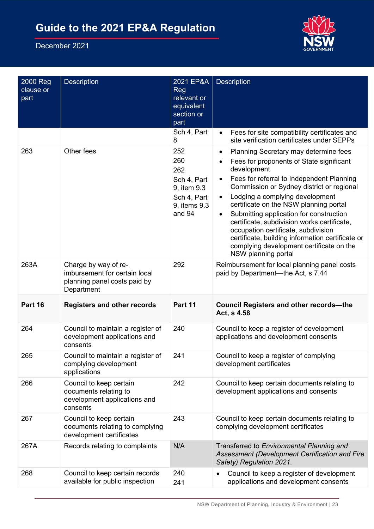

| 2000 Reg<br>clause or<br>part | Description                                                                                         | 2021 EP&A<br>Reg<br>relevant or<br>equivalent<br>section or<br>part                      | <b>Description</b>                                                                                                                                                                                                                                                                                                                                                                                                                                                                                                                                |
|-------------------------------|-----------------------------------------------------------------------------------------------------|------------------------------------------------------------------------------------------|---------------------------------------------------------------------------------------------------------------------------------------------------------------------------------------------------------------------------------------------------------------------------------------------------------------------------------------------------------------------------------------------------------------------------------------------------------------------------------------------------------------------------------------------------|
|                               |                                                                                                     | Sch 4, Part<br>8                                                                         | Fees for site compatibility certificates and<br>$\bullet$<br>site verification certificates under SEPPs                                                                                                                                                                                                                                                                                                                                                                                                                                           |
| 263                           | Other fees                                                                                          | 252<br>260<br>262<br>Sch 4, Part<br>9, item 9.3<br>Sch 4, Part<br>9, items 9.3<br>and 94 | Planning Secretary may determine fees<br>٠<br>Fees for proponents of State significant<br>development<br>Fees for referral to Independent Planning<br>$\bullet$<br>Commission or Sydney district or regional<br>Lodging a complying development<br>certificate on the NSW planning portal<br>Submitting application for construction<br>certificate, subdivision works certificate,<br>occupation certificate, subdivision<br>certificate, building information certificate or<br>complying development certificate on the<br>NSW planning portal |
| 263A                          | Charge by way of re-<br>imbursement for certain local<br>planning panel costs paid by<br>Department | 292                                                                                      | Reimbursement for local planning panel costs<br>paid by Department-the Act, s 7.44                                                                                                                                                                                                                                                                                                                                                                                                                                                                |
| Part 16                       | <b>Registers and other records</b>                                                                  | Part 11                                                                                  | <b>Council Registers and other records-the</b><br>Act, s 4.58                                                                                                                                                                                                                                                                                                                                                                                                                                                                                     |
| 264                           | Council to maintain a register of<br>development applications and<br>consents                       | 240                                                                                      | Council to keep a register of development<br>applications and development consents                                                                                                                                                                                                                                                                                                                                                                                                                                                                |
| 265                           | Council to maintain a register of<br>complying development<br>applications                          | 241                                                                                      | Council to keep a register of complying<br>development certificates                                                                                                                                                                                                                                                                                                                                                                                                                                                                               |
| 266                           | Council to keep certain<br>documents relating to<br>development applications and<br>consents        | 242                                                                                      | Council to keep certain documents relating to<br>development applications and consents                                                                                                                                                                                                                                                                                                                                                                                                                                                            |
| 267                           | Council to keep certain<br>documents relating to complying<br>development certificates              | 243                                                                                      | Council to keep certain documents relating to<br>complying development certificates                                                                                                                                                                                                                                                                                                                                                                                                                                                               |
| 267A                          | Records relating to complaints                                                                      | N/A                                                                                      | Transferred to Environmental Planning and<br>Assessment (Development Certification and Fire<br>Safety) Regulation 2021.                                                                                                                                                                                                                                                                                                                                                                                                                           |
| 268                           | Council to keep certain records<br>available for public inspection                                  | 240<br>241                                                                               | Council to keep a register of development<br>٠<br>applications and development consents                                                                                                                                                                                                                                                                                                                                                                                                                                                           |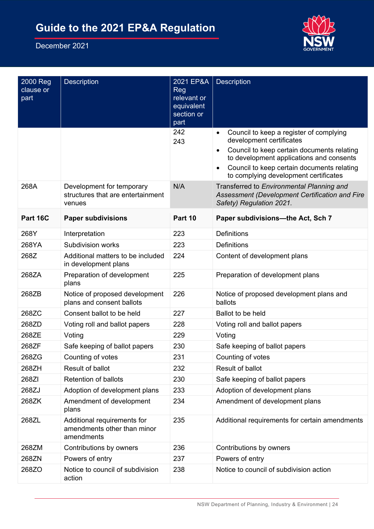

| 2000 Reg<br>clause or<br>part | <b>Description</b>                                                       | 2021 EP&A<br>Reg<br>relevant or<br>equivalent<br>section or<br>part | Description                                                                                                                                                                                                                                                                                 |
|-------------------------------|--------------------------------------------------------------------------|---------------------------------------------------------------------|---------------------------------------------------------------------------------------------------------------------------------------------------------------------------------------------------------------------------------------------------------------------------------------------|
|                               |                                                                          | 242<br>243                                                          | Council to keep a register of complying<br>$\bullet$<br>development certificates<br>Council to keep certain documents relating<br>$\bullet$<br>to development applications and consents<br>Council to keep certain documents relating<br>$\bullet$<br>to complying development certificates |
| 268A                          | Development for temporary<br>structures that are entertainment<br>venues | N/A                                                                 | Transferred to Environmental Planning and<br>Assessment (Development Certification and Fire<br>Safety) Regulation 2021.                                                                                                                                                                     |
| Part 16C                      | <b>Paper subdivisions</b>                                                | Part 10                                                             | Paper subdivisions-the Act, Sch 7                                                                                                                                                                                                                                                           |
| 268Y                          | Interpretation                                                           | 223                                                                 | <b>Definitions</b>                                                                                                                                                                                                                                                                          |
| 268YA                         | <b>Subdivision works</b>                                                 | 223                                                                 | <b>Definitions</b>                                                                                                                                                                                                                                                                          |
| 268Z                          | Additional matters to be included<br>in development plans                | 224                                                                 | Content of development plans                                                                                                                                                                                                                                                                |
| 268ZA                         | Preparation of development<br>plans                                      | 225                                                                 | Preparation of development plans                                                                                                                                                                                                                                                            |
| 268ZB                         | Notice of proposed development<br>plans and consent ballots              | 226                                                                 | Notice of proposed development plans and<br>ballots                                                                                                                                                                                                                                         |
| 268ZC                         | Consent ballot to be held                                                | 227                                                                 | <b>Ballot to be held</b>                                                                                                                                                                                                                                                                    |
| 268ZD                         | Voting roll and ballot papers                                            | 228                                                                 | Voting roll and ballot papers                                                                                                                                                                                                                                                               |
| 268ZE                         | Voting                                                                   | 229                                                                 | Voting                                                                                                                                                                                                                                                                                      |
| 268ZF                         | Safe keeping of ballot papers                                            | 230                                                                 | Safe keeping of ballot papers                                                                                                                                                                                                                                                               |
| 268ZG                         | Counting of votes                                                        | 231                                                                 | Counting of votes                                                                                                                                                                                                                                                                           |
| 268ZH                         | Result of ballot                                                         | 232                                                                 | Result of ballot                                                                                                                                                                                                                                                                            |
| 268ZI                         | <b>Retention of ballots</b>                                              | 230                                                                 | Safe keeping of ballot papers                                                                                                                                                                                                                                                               |
| 268ZJ                         | Adoption of development plans                                            | 233                                                                 | Adoption of development plans                                                                                                                                                                                                                                                               |
| 268ZK                         | Amendment of development<br>plans                                        | 234                                                                 | Amendment of development plans                                                                                                                                                                                                                                                              |
| 268ZL                         | Additional requirements for<br>amendments other than minor<br>amendments | 235                                                                 | Additional requirements for certain amendments                                                                                                                                                                                                                                              |
| 268ZM                         | Contributions by owners                                                  | 236                                                                 | Contributions by owners                                                                                                                                                                                                                                                                     |
| 268ZN                         | Powers of entry                                                          | 237                                                                 | Powers of entry                                                                                                                                                                                                                                                                             |
| 268ZO                         | Notice to council of subdivision<br>action                               | 238                                                                 | Notice to council of subdivision action                                                                                                                                                                                                                                                     |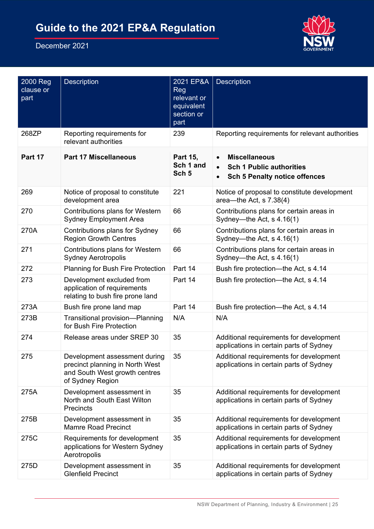

| 2000 Reg<br>clause or<br>part | <b>Description</b>                                                                                                    | 2021 EP&A<br>Reg<br>relevant or<br>equivalent<br>section or<br>part | <b>Description</b>                                                                                                        |
|-------------------------------|-----------------------------------------------------------------------------------------------------------------------|---------------------------------------------------------------------|---------------------------------------------------------------------------------------------------------------------------|
| 268ZP                         | Reporting requirements for<br>relevant authorities                                                                    | 239                                                                 | Reporting requirements for relevant authorities                                                                           |
| Part 17                       | <b>Part 17 Miscellaneous</b>                                                                                          | Part 15,<br>Sch 1 and<br>Sch <sub>5</sub>                           | <b>Miscellaneous</b><br>$\bullet$<br><b>Sch 1 Public authorities</b><br>$\bullet$<br><b>Sch 5 Penalty notice offences</b> |
| 269                           | Notice of proposal to constitute<br>development area                                                                  | 221                                                                 | Notice of proposal to constitute development<br>area—the Act, $s$ 7.38(4)                                                 |
| 270                           | Contributions plans for Western<br><b>Sydney Employment Area</b>                                                      | 66                                                                  | Contributions plans for certain areas in<br>Sydney-the Act, s 4.16(1)                                                     |
| 270A                          | Contributions plans for Sydney<br><b>Region Growth Centres</b>                                                        | 66                                                                  | Contributions plans for certain areas in<br>Sydney—the Act, $s$ 4.16(1)                                                   |
| 271                           | Contributions plans for Western<br><b>Sydney Aerotropolis</b>                                                         | 66                                                                  | Contributions plans for certain areas in<br>Sydney—the Act, $s$ 4.16(1)                                                   |
| 272                           | <b>Planning for Bush Fire Protection</b>                                                                              | Part 14                                                             | Bush fire protection—the Act, s 4.14                                                                                      |
| 273                           | Development excluded from<br>application of requirements<br>relating to bush fire prone land                          | Part 14                                                             | Bush fire protection—the Act, s 4.14                                                                                      |
| 273A                          | Bush fire prone land map                                                                                              | Part 14                                                             | Bush fire protection—the Act, s 4.14                                                                                      |
| 273B                          | Transitional provision-Planning<br>for Bush Fire Protection                                                           | N/A                                                                 | N/A                                                                                                                       |
| 274                           | Release areas under SREP 30                                                                                           | 35                                                                  | Additional requirements for development<br>applications in certain parts of Sydney                                        |
| 275                           | Development assessment during<br>precinct planning in North West<br>and South West growth centres<br>of Sydney Region | 35                                                                  | Additional requirements for development<br>applications in certain parts of Sydney                                        |
| 275A                          | Development assessment in<br>North and South East Wilton<br>Precincts                                                 | 35                                                                  | Additional requirements for development<br>applications in certain parts of Sydney                                        |
| 275B                          | Development assessment in<br><b>Mamre Road Precinct</b>                                                               | 35                                                                  | Additional requirements for development<br>applications in certain parts of Sydney                                        |
| 275C                          | Requirements for development<br>applications for Western Sydney<br>Aerotropolis                                       | 35                                                                  | Additional requirements for development<br>applications in certain parts of Sydney                                        |
| 275D                          | Development assessment in<br><b>Glenfield Precinct</b>                                                                | 35                                                                  | Additional requirements for development<br>applications in certain parts of Sydney                                        |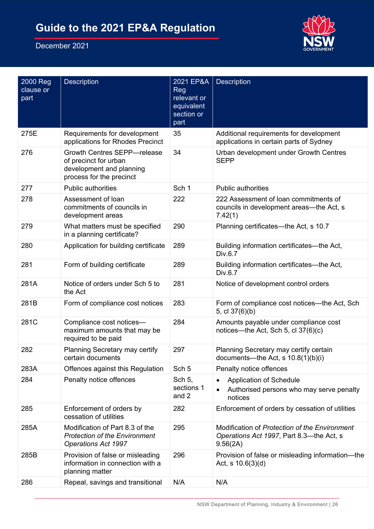

| 2000 Reg<br>clause or<br>part | <b>Description</b>                                                                                                  | 2021 EP&A<br><b>Reg</b><br>relevant or<br>equivalent<br>section or<br>part | <b>Description</b>                                                                                    |
|-------------------------------|---------------------------------------------------------------------------------------------------------------------|----------------------------------------------------------------------------|-------------------------------------------------------------------------------------------------------|
| 275E                          | Requirements for development<br>applications for Rhodes Precinct                                                    | 35                                                                         | Additional requirements for development<br>applications in certain parts of Sydney                    |
| 276                           | <b>Growth Centres SEPP-release</b><br>of precinct for urban<br>development and planning<br>process for the precinct | 34                                                                         | Urban development under Growth Centres<br><b>SEPP</b>                                                 |
| 277                           | <b>Public authorities</b>                                                                                           | Sch 1                                                                      | <b>Public authorities</b>                                                                             |
| 278                           | Assessment of loan<br>commitments of councils in<br>development areas                                               | 222                                                                        | 222 Assessment of loan commitments of<br>councils in development areas—the Act, s<br>7.42(1)          |
| 279                           | What matters must be specified<br>in a planning certificate?                                                        | 290                                                                        | Planning certificates—the Act, s 10.7                                                                 |
| 280                           | Application for building certificate                                                                                | 289                                                                        | Building information certificates-the Act,<br>Div.6.7                                                 |
| 281                           | Form of building certificate                                                                                        | 289                                                                        | Building information certificates-the Act,<br>Div.6.7                                                 |
| 281A                          | Notice of orders under Sch 5 to<br>the Act                                                                          | 281                                                                        | Notice of development control orders                                                                  |
| 281B                          | Form of compliance cost notices                                                                                     | 283                                                                        | Form of compliance cost notices—the Act, Sch<br>5, cl 37(6)(b)                                        |
| 281C                          | Compliance cost notices-<br>maximum amounts that may be<br>required to be paid                                      | 284                                                                        | Amounts payable under compliance cost<br>notices—the Act, Sch 5, cl $37(6)(c)$                        |
| 282                           | <b>Planning Secretary may certify</b><br>certain documents                                                          | 297                                                                        | Planning Secretary may certify certain<br>documents-the Act, s 10.8(1)(b)(i)                          |
| 283A                          | Offences against this Regulation                                                                                    | Sch <sub>5</sub>                                                           | Penalty notice offences                                                                               |
| 284                           | Penalty notice offences                                                                                             | Sch 5,<br>sections 1<br>and 2                                              | <b>Application of Schedule</b><br>Authorised persons who may serve penalty<br>notices                 |
| 285                           | Enforcement of orders by<br>cessation of utilities                                                                  | 282                                                                        | Enforcement of orders by cessation of utilities                                                       |
| 285A                          | Modification of Part 8.3 of the<br><b>Protection of the Environment</b><br><b>Operations Act 1997</b>               | 295                                                                        | Modification of Protection of the Environment<br>Operations Act 1997, Part 8.3—the Act, s<br>9.56(2A) |
| 285B                          | Provision of false or misleading<br>information in connection with a<br>planning matter                             | 296                                                                        | Provision of false or misleading information-the<br>Act, s $10.6(3)(d)$                               |
| 286                           | Repeal, savings and transitional                                                                                    | N/A                                                                        | N/A                                                                                                   |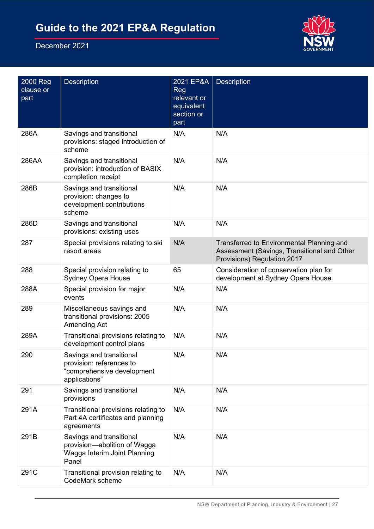

| 2000 Reg<br>clause or<br>part | <b>Description</b>                                                                                  | 2021 EP&A<br>Reg<br>relevant or<br>equivalent<br>section or<br>part | <b>Description</b>                                                                                                      |
|-------------------------------|-----------------------------------------------------------------------------------------------------|---------------------------------------------------------------------|-------------------------------------------------------------------------------------------------------------------------|
| 286A                          | Savings and transitional<br>provisions: staged introduction of<br>scheme                            | N/A                                                                 | N/A                                                                                                                     |
| 286AA                         | Savings and transitional<br>provision: introduction of BASIX<br>completion receipt                  | N/A                                                                 | N/A                                                                                                                     |
| 286B                          | Savings and transitional<br>provision: changes to<br>development contributions<br>scheme            | N/A                                                                 | N/A                                                                                                                     |
| 286D                          | Savings and transitional<br>provisions: existing uses                                               | N/A                                                                 | N/A                                                                                                                     |
| 287                           | Special provisions relating to ski<br>resort areas                                                  | N/A                                                                 | Transferred to Environmental Planning and<br>Assessment (Savings, Transitional and Other<br>Provisions) Regulation 2017 |
| 288                           | Special provision relating to<br><b>Sydney Opera House</b>                                          | 65                                                                  | Consideration of conservation plan for<br>development at Sydney Opera House                                             |
| 288A                          | Special provision for major<br>events                                                               | N/A                                                                 | N/A                                                                                                                     |
| 289                           | Miscellaneous savings and<br>transitional provisions: 2005<br>Amending Act                          | N/A                                                                 | N/A                                                                                                                     |
| 289A                          | Transitional provisions relating to<br>development control plans                                    | N/A                                                                 | N/A                                                                                                                     |
| 290                           | Savings and transitional<br>provision: references to<br>"comprehensive development<br>applications" | N/A                                                                 | N/A                                                                                                                     |
| 291                           | Savings and transitional<br>provisions                                                              | N/A                                                                 | N/A                                                                                                                     |
| 291A                          | Transitional provisions relating to<br>Part 4A certificates and planning<br>agreements              | N/A                                                                 | N/A                                                                                                                     |
| 291B                          | Savings and transitional<br>provision-abolition of Wagga<br>Wagga Interim Joint Planning<br>Panel   | N/A                                                                 | N/A                                                                                                                     |
| 291C                          | Transitional provision relating to<br>CodeMark scheme                                               | N/A                                                                 | N/A                                                                                                                     |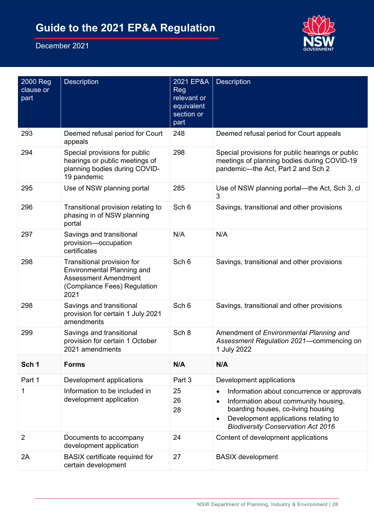

| 2000 Reg<br>clause or<br>part | <b>Description</b>                                                                                                                     | 2021 EP&A<br>Reg<br>relevant or<br>equivalent<br>section or<br>part | <b>Description</b>                                                                                                                                                                                                                                   |
|-------------------------------|----------------------------------------------------------------------------------------------------------------------------------------|---------------------------------------------------------------------|------------------------------------------------------------------------------------------------------------------------------------------------------------------------------------------------------------------------------------------------------|
| 293                           | Deemed refusal period for Court<br>appeals                                                                                             | 248                                                                 | Deemed refusal period for Court appeals                                                                                                                                                                                                              |
| 294                           | Special provisions for public<br>hearings or public meetings of<br>planning bodies during COVID-<br>19 pandemic                        | 298                                                                 | Special provisions for public hearings or public<br>meetings of planning bodies during COVID-19<br>pandemic-the Act, Part 2 and Sch 2                                                                                                                |
| 295                           | Use of NSW planning portal                                                                                                             | 285                                                                 | Use of NSW planning portal—the Act, Sch 3, cl<br>3                                                                                                                                                                                                   |
| 296                           | Transitional provision relating to<br>phasing in of NSW planning<br>portal                                                             | Sch 6                                                               | Savings, transitional and other provisions                                                                                                                                                                                                           |
| 297                           | Savings and transitional<br>provision-occupation<br>certificates                                                                       | N/A                                                                 | N/A                                                                                                                                                                                                                                                  |
| 298                           | Transitional provision for<br><b>Environmental Planning and</b><br><b>Assessment Amendment</b><br>(Compliance Fees) Regulation<br>2021 | Sch 6                                                               | Savings, transitional and other provisions                                                                                                                                                                                                           |
| 298                           | Savings and transitional<br>provision for certain 1 July 2021<br>amendments                                                            | Sch 6                                                               | Savings, transitional and other provisions                                                                                                                                                                                                           |
| 299                           | Savings and transitional<br>provision for certain 1 October<br>2021 amendments                                                         | Sch 8                                                               | Amendment of Environmental Planning and<br>Assessment Regulation 2021-commencing on<br>1 July 2022                                                                                                                                                   |
| Sch 1                         | <b>Forms</b>                                                                                                                           | N/A                                                                 | N/A                                                                                                                                                                                                                                                  |
| Part 1                        | Development applications                                                                                                               | Part 3                                                              | Development applications                                                                                                                                                                                                                             |
| 1                             | Information to be included in<br>development application                                                                               | 25<br>26<br>28                                                      | Information about concurrence or approvals<br>$\bullet$<br>Information about community housing,<br>$\bullet$<br>boarding houses, co-living housing<br>Development applications relating to<br>$\bullet$<br><b>Biodiversity Conservation Act 2016</b> |
| $\overline{2}$                | Documents to accompany<br>development application                                                                                      | 24                                                                  | Content of development applications                                                                                                                                                                                                                  |
| 2A                            | <b>BASIX</b> certificate required for<br>certain development                                                                           | 27                                                                  | <b>BASIX</b> development                                                                                                                                                                                                                             |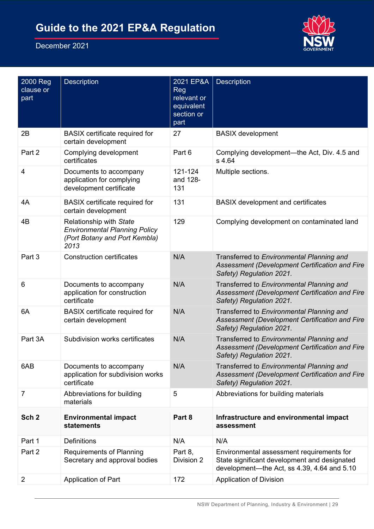

| 2000 Reg<br>clause or<br>part | <b>Description</b>                                                                                       | 2021 EP&A<br><b>Reg</b><br>relevant or<br>equivalent<br>section or<br>part | <b>Description</b>                                                                                                                       |
|-------------------------------|----------------------------------------------------------------------------------------------------------|----------------------------------------------------------------------------|------------------------------------------------------------------------------------------------------------------------------------------|
| 2B                            | <b>BASIX</b> certificate required for<br>certain development                                             | 27                                                                         | <b>BASIX</b> development                                                                                                                 |
| Part 2                        | Complying development<br>certificates                                                                    | Part 6                                                                     | Complying development—the Act, Div. 4.5 and<br>s 4.64                                                                                    |
| $\overline{4}$                | Documents to accompany<br>application for complying<br>development certificate                           | 121-124<br>and 128-<br>131                                                 | Multiple sections.                                                                                                                       |
| 4A                            | <b>BASIX</b> certificate required for<br>certain development                                             | 131                                                                        | <b>BASIX</b> development and certificates                                                                                                |
| 4B                            | Relationship with State<br><b>Environmental Planning Policy</b><br>(Port Botany and Port Kembla)<br>2013 | 129                                                                        | Complying development on contaminated land                                                                                               |
| Part 3                        | <b>Construction certificates</b>                                                                         | N/A                                                                        | Transferred to Environmental Planning and<br>Assessment (Development Certification and Fire<br>Safety) Regulation 2021.                  |
| 6                             | Documents to accompany<br>application for construction<br>certificate                                    | N/A                                                                        | Transferred to Environmental Planning and<br>Assessment (Development Certification and Fire<br>Safety) Regulation 2021.                  |
| 6A                            | <b>BASIX</b> certificate required for<br>certain development                                             | N/A                                                                        | Transferred to Environmental Planning and<br>Assessment (Development Certification and Fire<br>Safety) Regulation 2021.                  |
| Part 3A                       | Subdivision works certificates                                                                           | N/A                                                                        | Transferred to Environmental Planning and<br>Assessment (Development Certification and Fire<br>Safety) Regulation 2021.                  |
| 6AB                           | Documents to accompany<br>application for subdivision works<br>certificate                               | N/A                                                                        | Transferred to Environmental Planning and<br>Assessment (Development Certification and Fire<br>Safety) Regulation 2021.                  |
| 7                             | Abbreviations for building<br>materials                                                                  | 5                                                                          | Abbreviations for building materials                                                                                                     |
| Sch <sub>2</sub>              | <b>Environmental impact</b><br>statements                                                                | Part 8                                                                     | Infrastructure and environmental impact<br>assessment                                                                                    |
| Part 1                        | <b>Definitions</b>                                                                                       | N/A                                                                        | N/A                                                                                                                                      |
| Part 2                        | <b>Requirements of Planning</b><br>Secretary and approval bodies                                         | Part 8,<br>Division 2                                                      | Environmental assessment requirements for<br>State significant development and designated<br>development-the Act, ss 4.39, 4.64 and 5.10 |
| $\overline{2}$                | Application of Part                                                                                      | 172                                                                        | <b>Application of Division</b>                                                                                                           |